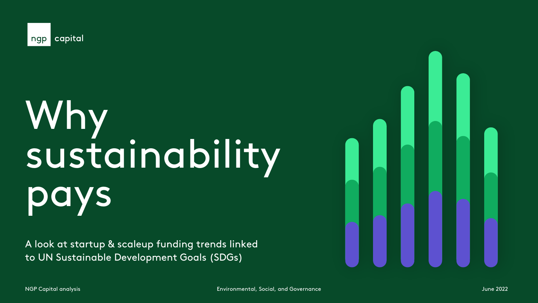

# Why sustainability **S**

A look at startup & scaleup funding trends linked to UN Sustainable Development Goals (SDGs)

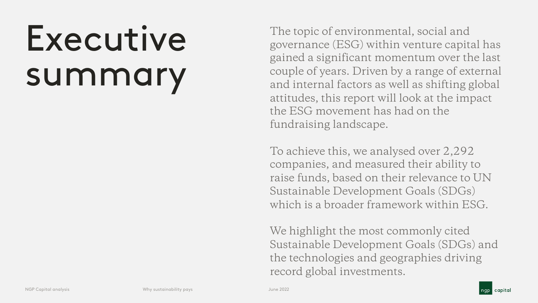# Executive summary

The topic of environmental, social and governance (ESG) within venture capital has gained a significant momentum over the last couple of years. Driven by a range of external and internal factors as well as shifting global attitudes, this report will look at the impact the ESG movement has had on the fundraising landscape.

To achieve this, we analysed over 2,292 companies, and measured their ability to raise funds, based on their relevance to UN Sustainable Development Goals (SDGs) which is a broader framework within ESG.

We highlight the most commonly cited Sustainable Development Goals (SDGs) and the technologies and geographies driving record global investments.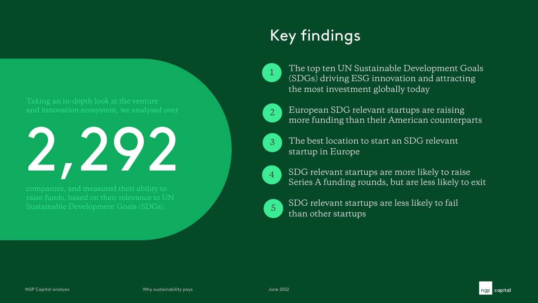Taking an in-depth look at the venture



companies, and measured their ability to raise funds, based on their relevance to UN

### Key findings



The top ten UN Sustainable Development Goals (SDGs) driving ESG innovation and attracting the most investment globally today



European SDG relevant startups are raising more funding than their American counterparts



The best location to start an SDG relevant startup in Europe



SDG relevant startups are more likely to raise Series A funding rounds, but are less likely to exit



SDG relevant startups are less likely to fail than other startups

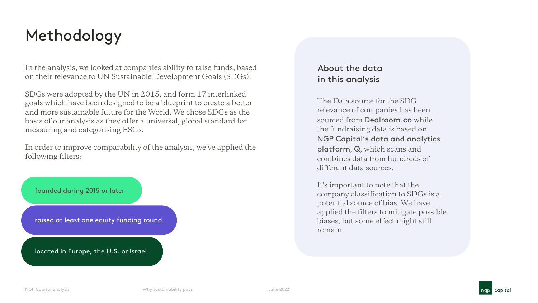### Methodology

In the analysis, we looked at companies ability to raise funds, based on their relevance to UN Sustainable Development Goals (SDGs).

SDGs were adopted by the UN in 2015, and form 17 interlinked goals which have been designed to be a blueprint to create a better and more sustainable future for the World. We chose SDGs as the basis of our analysis as they offer a universal, global standard for measuring and categorising ESGs.

In order to improve comparability of the analysis, we've applied the following filters:



#### About the data in this analysis

The Data source for the SDG relevance of companies has been sourced from Dealroom.co while the fundraising data is based on NGP Capital's data and analytics platform, Q, which scans and combines data from hundreds of different data sources.

It's important to note that the company classification to SDGs is a potential source of bias. We have applied the filters to mitigate possible biases, but some effect might still remain.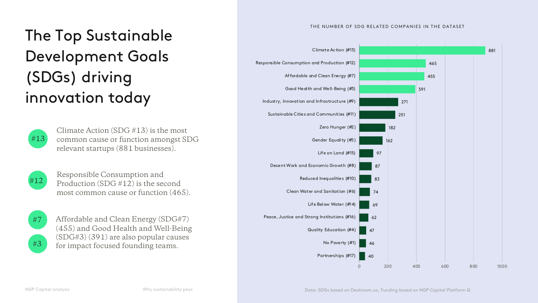#### THE NUMBER OF SDG RELATED COMPANIES IN THE DATASET



# The Top Sustainable Development Goals (SDGs) driving innovation today



Climate Action (SDG #13) is the most common cause or function amongst SDG relevant startups (881 businesses).



Responsible Consumption and Production (SDG #12) is the second most common cause or function (465).



#3

Affordable and Clean Energy (SDG#7) (455) and Good Health and Well-Being (SDG#3) (391) are also popular causes for impact focused founding teams.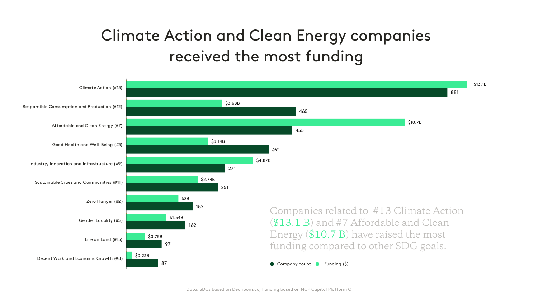# Climate Action and Clean Energy companies received the most funding

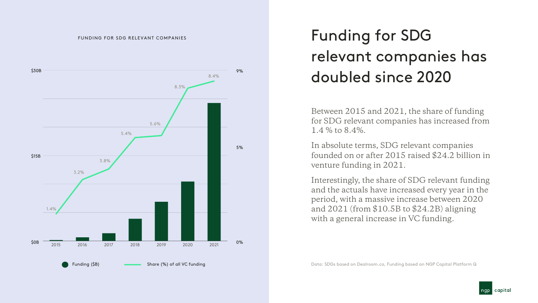

# Funding for SDG relevant companies has doubled since 2020

Between 2015 and 2021, the share of funding for SDG relevant companies has increased from 1.4 % to 8.4%.

In absolute terms, SDG relevant companies founded on or after 2015 raised \$24.2 billion in venture funding in 2021.

Interestingly, the share of SDG relevant funding and the actuals have increased every year in the period, with a massive increase between 2020 and 2021 (from \$10.5B to \$24.2B) aligning with a general increase in VC funding.

Data: SDGs based on Dealroom.co, Funding based on NGP Capital Platform Q

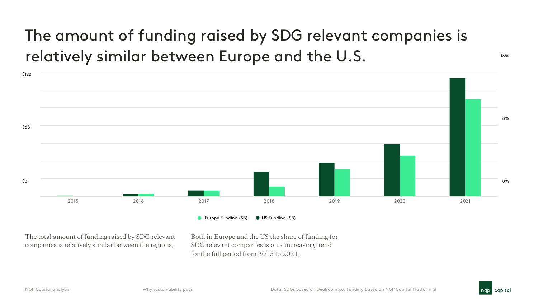# The amount of funding raised by SDG relevant companies is relatively similar between Europe and the U.S.



The total amount of funding raised by SDG relevant companies is relatively similar between the regions,

Both in Europe and the US the share of funding for SDG relevant companies is on a increasing trend for the full period from 2015 to 2021.

16%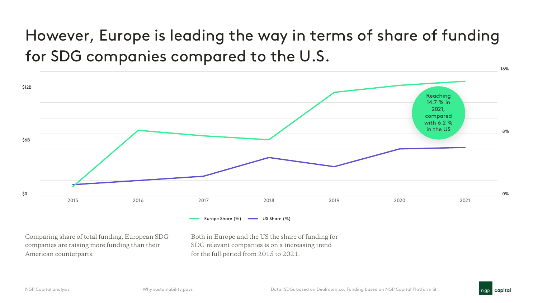# However, Europe is leading the way in terms of share of funding for SDG companies compared to the U.S.



Comparing share of total funding, European SDG companies are raising more funding than their American counterparts.

Both in Europe and the US the share of funding for SDG relevant companies is on a increasing trend for the full period from 2015 to 2021.



16%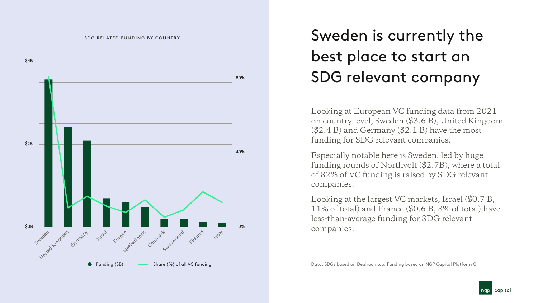#### SDG RELATED FUNDING BY COUNTRY



# Sweden is currently the best place to start an SDG relevant company

Looking at European VC funding data from 2021 on country level, Sweden (\$3.6 B), United Kingdom  $(\$2.4 B)$  and Germany  $(\$2.1 B)$  have the most funding for SDG relevant companies.

Especially notable here is Sweden, led by huge funding rounds of Northvolt (\$2.7B), where a total of 82% of VC funding is raised by SDG relevant companies.

Looking at the largest VC markets, Israel (\$0.7 B, 11% of total) and France (\$0.6 B, 8% of total) have less-than-average funding for SDG relevant companies.

Data: SDGs based on Dealroom.co, Funding based on NGP Capital Platform Q

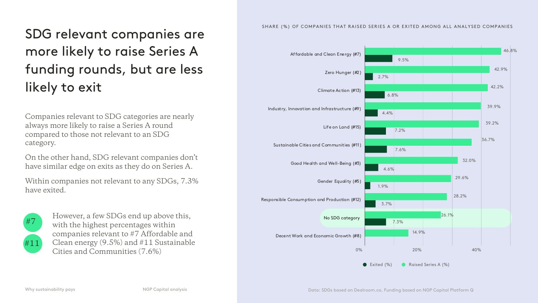### SDG relevant companies are more likely to raise Series A funding rounds, but are less likely to exit

Companies relevant to SDG categories are nearly always more likely to raise a Series A round compared to those not relevant to an SDG category.

On the other hand, SDG relevant companies don't have similar edge on exits as they do on Series A.

Within companies not relevant to any SDGs, 7.3% have exited.



However, a few SDGs end up above this, with the highest percentages within companies relevant to #7 Affordable and Clean energy (9.5%) and #11 Sustainable Cities and Communities (7.6%)

#### SHARE (%) OF COMPANIES THAT RAISED SERIES A OR EXITED AMONG ALL ANALYSED COMPANIES

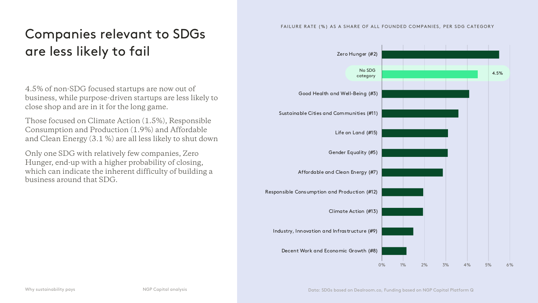### Companies relevant to SDGs are less likely to fail

4.5% of non-SDG focused startups are now out of business, while purpose-driven startups are less likely to close shop and are in it for the long game.

Those focused on Climate Action (1.5%), Responsible Consumption and Production (1.9%) and Affordable and Clean Energy (3.1 %) are all less likely to shut down

Only one SDG with relatively few companies, Zero Hunger, end-up with a higher probability of closing, which can indicate the inherent difficulty of building a business around that SDG.

#### FAILURE RATE (%) AS A SHARE OF ALL FOUNDED COMPANIES, PER SDG CATEGORY

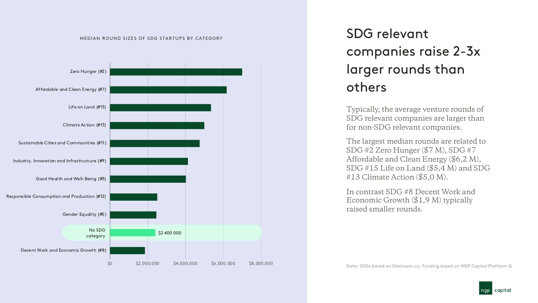

MEDIAN ROUND SIZES OF SDG STARTUPS BY CATEGORY

### SDG relevant companies raise 2-3x larger rounds than others

Typically, the average venture rounds of SDG relevant companies are larger than for non-SDG relevant companies.

The largest median rounds are related to SDG #2 Zero Hunger (\$7 M), SDG #7 Affordable and Clean Energy (\$6,2 M), SDG #15 Life on Land (\$5,4 M) and SDG #13 Climate Action (\$5,0 M).

In contrast SDG #8 Decent Work and Economic Growth (\$1,9 M) typically raised smaller rounds.

Data: SDGs based on Dealroom.co, Funding based on NGP Capital Platform Q

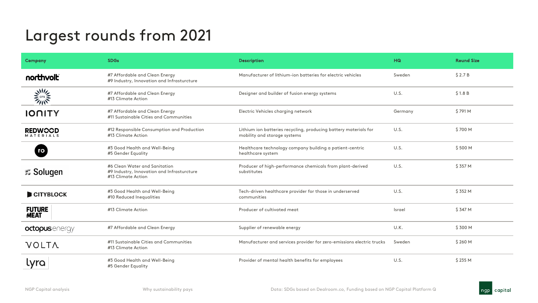### Largest rounds from 2021

| <b>Company</b>                     | <b>SDGs</b>                                                                                       | <b>Description</b>                                                                               | HG      | <b>Round Size</b> |
|------------------------------------|---------------------------------------------------------------------------------------------------|--------------------------------------------------------------------------------------------------|---------|-------------------|
| northvolt                          | #7 Affordable and Clean Energy<br>#9 Industry, Innovation and Infrasturcture                      | Manufacturer of lithium-ion batteries for electric vehicles                                      | Sweden  | \$2.7B            |
| $\frac{1}{2}$                      | #7 Affordable and Clean Energy<br>#13 Climate Action                                              | Designer and builder of fusion energy systems                                                    | U.S.    | \$1.8B            |
| <b>IONITY</b>                      | #7 Affordable and Clean Energy<br>#11 Sustainable Cities and Communities                          | Electric Vehicles charging network                                                               | Germany | \$791 M           |
| <b>REDWCCD</b><br><b>MATERIALS</b> | #12 Responsible Consumption and Production<br>#13 Climate Action                                  | Lithium ion batteries recycling, producing battery materials for<br>mobility and storage systems | U.S.    | \$700 M           |
| ro                                 | #3 Good Health and Well-Being<br>#5 Gender Equality                                               | Healthcare technology company building a patient-centric<br>healthcare system                    | U.S.    | \$500 M           |
| <b>Solugen</b>                     | #6 Clean Water and Sanitation<br>#9 Industry, Innovation and Infrasturcture<br>#13 Climate Action | Producer of high-performance chemicals from plant-derived<br>substitutes                         | U.S.    | \$357 M           |
| CITYBLOCK                          | #3 Good Health and Well-Being<br>#10 Reduced Inequalities                                         | Tech-driven healthcare provider for those in underserved<br>communities                          | U.S.    | \$352 M           |
| <b>FUTURE</b><br><b>MEAT</b>       | #13 Climate Action                                                                                | Producer of cultivated meat                                                                      | Israel  | \$347 M           |
| octopusenergy                      | #7 Affordable and Clean Energy                                                                    | Supplier of renewable energy                                                                     | U.K.    | \$300 M           |
| <b>VOLTA</b>                       | #11 Sustainable Cities and Communities<br>#13 Climate Action                                      | Manufacturer and services provider for zero-emissions electric trucks                            | Sweden  | \$260 M           |
| lyra                               | #3 Good Health and Well-Being<br>#5 Gender Equality                                               | Provider of mental health benefits for employees                                                 | U.S.    | \$235 M           |

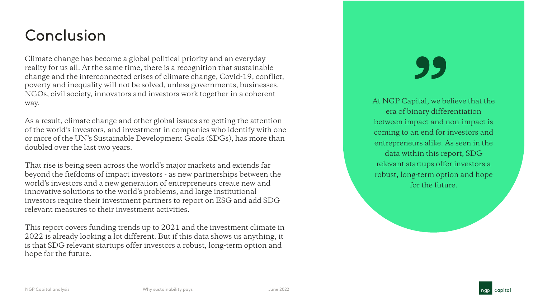### Conclusion

Climate change has become a global political priority and an everyday reality for us all. At the same time, there is a recognition that sustainable change and the interconnected crises of climate change, Covid-19, conflict, poverty and inequality will not be solved, unless governments, businesses, NGOs, civil society, innovators and investors work together in a coherent way.

As a result, climate change and other global issues are getting the attention of the world's investors, and investment in companies who identify with one or more of the UN's Sustainable Development Goals (SDGs), has more than doubled over the last two years.

That rise is being seen across the world's major markets and extends far beyond the fiefdoms of impact investors - as new partnerships between the world's investors and a new generation of entrepreneurs create new and innovative solutions to the world's problems, and large institutional investors require their investment partners to report on ESG and add SDG relevant measures to their investment activities.

This report covers funding trends up to 2021 and the investment climate in 2022 is already looking a lot different. But if this data shows us anything, it is that SDG relevant startups offer investors a robust, long-term option and hope for the future.

At NGP Capital, we believe that the<br>
era of binary differentiation<br>
between impact and non-impact is At NGP Capital, we believe that the era of binary differentiation coming to an end for investors and entrepreneurs alike. As seen in the data within this report, SDG relevant startups offer investors a robust, long-term option and hope for the future.